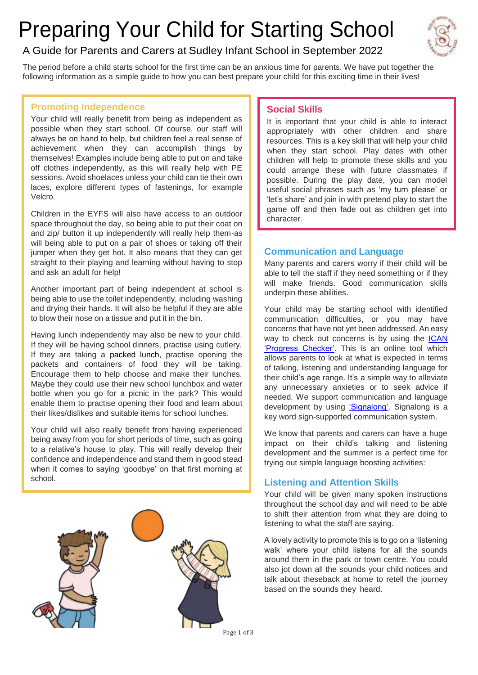# Preparing Your Child for Starting School



# A Guide for Parents and Carers at Sudley Infant School in September 2022

The period before a child starts school for the first time can be an anxious time for parents. We have put together the following information as a simple guide to how you can best prepare your child for this exciting time in their lives!

# **Promoting Independence**

Your child will really benefit from being as independent as possible when they start school. Of course, our staff will always be on hand to help, but children feel a real sense of achievement when they can accomplish things by themselves! Examples include being able to put on and take off clothes independently, as this will really help with PE sessions. Avoid shoelaces unless your child can tie their own laces, explore different types of fastenings, for example Velcro.

Children in the EYFS will also have access to an outdoor space throughout the day, so being able to put their coat on and zip/ button it up independently will really help them-as will being able to put on a pair of shoes or taking off their jumper when they get hot. It also means that they can get straight to their playing and learning without having to stop and ask an adult for help!

Another important part of being independent at school is being able to use the toilet independently, including washing and drying their hands. It will also be helpful if they are able to blow their nose on a tissue and put it in the bin.

[Having lunch independently may](https://ican.org.uk/i-cans-talking-point/progress-checker-home/) also be new to your child. If they will be having school dinners, practise using cutlery. If they are taking a [packed lunch,](https://sudleyinfantschool.co.uk/wp-content/uploads/2018/06/HEALTHY-LUNCHBOX-GUIDELINES-2018.pdf) practise opening the packets and containers of food they will be taking. Encourage them to help choose and make their lunches. Maybe they could use their new school lunchbox and water bottle when you go for a picnic in the park? This would enable them to practise opening their food and learn about their likes/dislikes and suitable items for school lunches.

Your child will also really benefit from having experienced being away from you for short periods of time, such as going to a relative's house to play. This will really develop their confidence and independence and stand them in good stead when it comes to saying 'goodbye' on that first morning at school.



# **Social Skills**

It is important that your child is able to interact appropriately with other children and share resources. This is a key skill that will help your child when they start school. Play dates with other children will help to promote these skills and you could arrange these with future classmates if possible. During the play date, you can model useful social phrases such as 'my turn please' or 'let's share' and join in with pretend play to start the game off and then fade out as children get into character.

# **Communication and Language**

Many parents and carers worry if their child will be able to tell the staff if they need something or if they will make friends. Good communication skills underpin these abilities.

Your child may be starting school with identified communication difficulties, or you may have concerns that have not yet been addressed. An easy way to check out concerns is by using the [ICAN](https://ican.org.uk/i-cans-talking-point/progress-checker-home/) ['Progress Checker'.](https://ican.org.uk/i-cans-talking-point/progress-checker-home/) This is an online tool which allows parents to look at what is expected in terms of talking, listening and understanding language for their child's age range. It's a simple way to alleviate any unnecessary anxieties or to seek advice if needed. We support communication and language development by using ['Signalong'.](https://www.signalong.org.uk/) Signalong is a key word sign-supported communication system.

We know that parents and carers can have a huge impact on their child's talking and listening development and the summer is a perfect time for trying out simple language boosting activities:

# **Listening and Attention Skills**

Your child will be given many spoken instructions throughout the school day and will need to be able to shift their attention from what they are doing to listening to what the staff are saying.

A lovely activity to promote this is to go on a 'listening walk' where your child listens for all the sounds around them in the park or town centre. You could also jot down all the sounds your child notices and talk about theseback at home to retell the journey based on the sounds they heard.

Page 1 of 3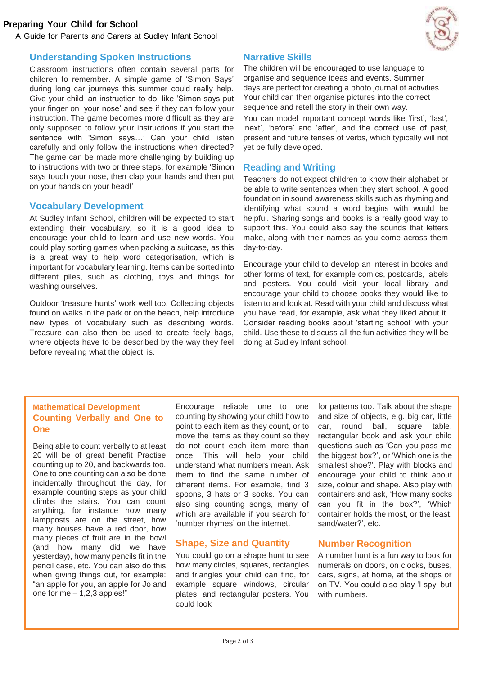#### **Preparing Your Child for School**

A Guide for Parents and Carers at Sudley Infant School



#### **Understanding Spoken Instructions**

Classroom instructions often contain several parts for children to remember. A simple game of 'Simon Says' during long car journeys this summer could really help. Give your child an instruction to do, like 'Simon says put your finger on your nose' and see if they can follow your instruction. The game becomes more difficult as they are only supposed to follow your instructions if you start the sentence with 'Simon says…' Can your child listen carefully and only follow the instructions when directed? The game can be made more challenging by building up to instructions with two or three steps, for example 'Simon says touch your nose, then clap your hands and then put on your hands on your head!'

#### **Vocabulary Development**

At Sudley Infant School, children will be expected to start extending their vocabulary, so it is a good idea to encourage your child to learn and use new words. You could play sorting games when packing a suitcase, as this is a great way to help word categorisation, which is important for vocabulary learning. Items can be sorted into different piles, such as clothing, toys and things for washing ourselves.

Outdoor 'treasure hunts' work well too. Collecting objects found on walks in the park or on the beach, help introduce new types of vocabulary such as describing words. Treasure can also then be used to create feely bags, where objects have to be described by the way they feel before revealing what the object is.

#### **Narrative Skills**

The children will be encouraged to use language to organise and sequence ideas and events. Summer days are perfect for creating a photo journal of activities. Your child can then organise pictures into the correct sequence and retell the story in their own way.

You can model important concept words like 'first', 'last', 'next', 'before' and 'after', and the correct use of past, present and future tenses of verbs, which typically will not yet be fully developed.

#### **Reading and Writing**

Teachers do not expect children to know their alphabet or be able to write sentences when they start school. A good foundation in sound awareness skills such as rhyming and identifying what sound a word begins with would be helpful. Sharing songs and books is a really good way to support this. You could also say the sounds that letters make, along with their names as you come across them day-to-day.

Encourage your child to develop an interest in books and other forms of text, for example comics, postcards, labels and posters. You could visit your local library and encourage your child to choose books they would like to listen to and look at. Read with your child and discuss what you have read, for example, ask what they liked about it. Consider reading books about 'starting school' with your child. Use these to discuss all the fun activities they will be doing at Sudley Infant school.

#### **Mathematical Development Counting Verbally and One to One**

Being able to count verbally to at least 20 will be of great benefit Practise counting up to 20, and backwards too. One to one counting can also be done incidentally throughout the day, for example counting steps as your child climbs the stairs. You can count anything, for instance how many lampposts are on the street, how many houses have a red door, how many pieces of fruit are in the bowl (and how many did we have yesterday), how many pencils fit in the pencil case, etc. You can also do this when giving things out, for example: "an apple for you, an apple for Jo and one for me  $-1,2,3$  apples!"

Encourage reliable one to one counting by showing your child how to point to each item as they count, or to move the items as they count so they do not count each item more than once. This will help your child understand what numbers mean. Ask them to find the same number of different items. For example, find 3 spoons, 3 hats or 3 socks. You can also sing counting songs, many of which are available if you search for 'number rhymes' on the internet.

#### **Shape, Size and Quantity**

You could go on a shape hunt to see how many circles, squares, rectangles and triangles your child can find, for example square windows, circular plates, and rectangular posters. You could look

for patterns too. Talk about the shape and size of objects, e.g. big car, little car, round ball, square table, rectangular book and ask your child questions such as 'Can you pass me the biggest box?', or 'Which one is the smallest shoe?'. Play with blocks and encourage your child to think about size, colour and shape. Also play with containers and ask, 'How many socks can you fit in the box?', 'Which container holds the most, or the least, sand/water?', etc.

#### **Number Recognition**

A number hunt is a fun way to look for numerals on doors, on clocks, buses, cars, signs, at home, at the shops or on TV. You could also play 'I spy' but with numbers.